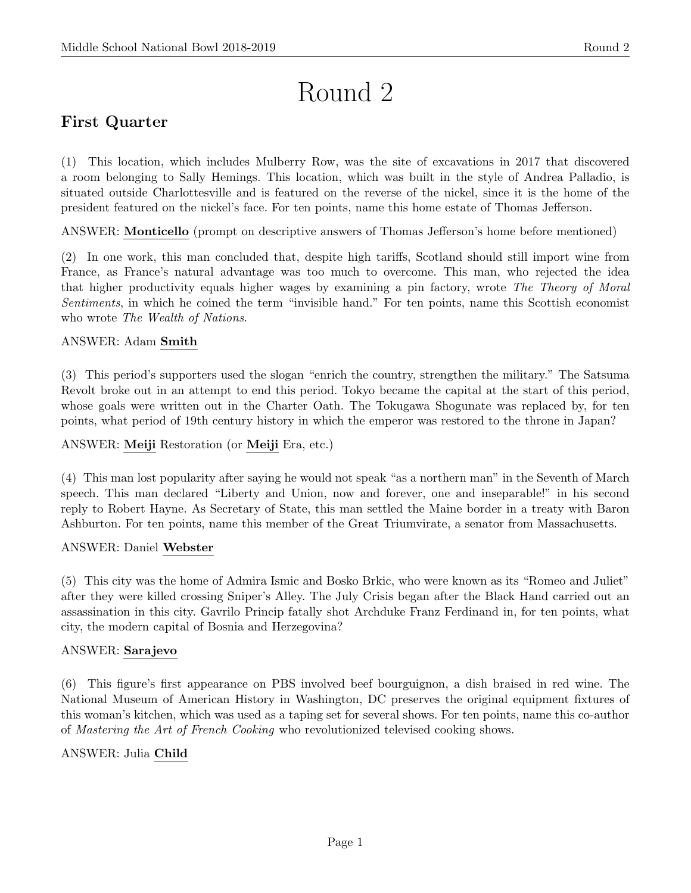# Round 2

# First Quarter

(1) This location, which includes Mulberry Row, was the site of excavations in 2017 that discovered a room belonging to Sally Hemings. This location, which was built in the style of Andrea Palladio, is situated outside Charlottesville and is featured on the reverse of the nickel, since it is the home of the president featured on the nickel's face. For ten points, name this home estate of Thomas Jefferson.

ANSWER: Monticello (prompt on descriptive answers of Thomas Jefferson's home before mentioned)

(2) In one work, this man concluded that, despite high tariffs, Scotland should still import wine from France, as France's natural advantage was too much to overcome. This man, who rejected the idea that higher productivity equals higher wages by examining a pin factory, wrote The Theory of Moral Sentiments, in which he coined the term "invisible hand." For ten points, name this Scottish economist who wrote *The Wealth of Nations*.

# ANSWER: Adam Smith

(3) This period's supporters used the slogan "enrich the country, strengthen the military." The Satsuma Revolt broke out in an attempt to end this period. Tokyo became the capital at the start of this period, whose goals were written out in the Charter Oath. The Tokugawa Shogunate was replaced by, for ten points, what period of 19th century history in which the emperor was restored to the throne in Japan?

# ANSWER: Meiji Restoration (or Meiji Era, etc.)

(4) This man lost popularity after saying he would not speak "as a northern man" in the Seventh of March speech. This man declared "Liberty and Union, now and forever, one and inseparable!" in his second reply to Robert Hayne. As Secretary of State, this man settled the Maine border in a treaty with Baron Ashburton. For ten points, name this member of the Great Triumvirate, a senator from Massachusetts.

#### ANSWER: Daniel Webster

(5) This city was the home of Admira Ismic and Bosko Brkic, who were known as its "Romeo and Juliet" after they were killed crossing Sniper's Alley. The July Crisis began after the Black Hand carried out an assassination in this city. Gavrilo Princip fatally shot Archduke Franz Ferdinand in, for ten points, what city, the modern capital of Bosnia and Herzegovina?

#### ANSWER: Sarajevo

(6) This figure's first appearance on PBS involved beef bourguignon, a dish braised in red wine. The National Museum of American History in Washington, DC preserves the original equipment fixtures of this woman's kitchen, which was used as a taping set for several shows. For ten points, name this co-author of Mastering the Art of French Cooking who revolutionized televised cooking shows.

# ANSWER: Julia Child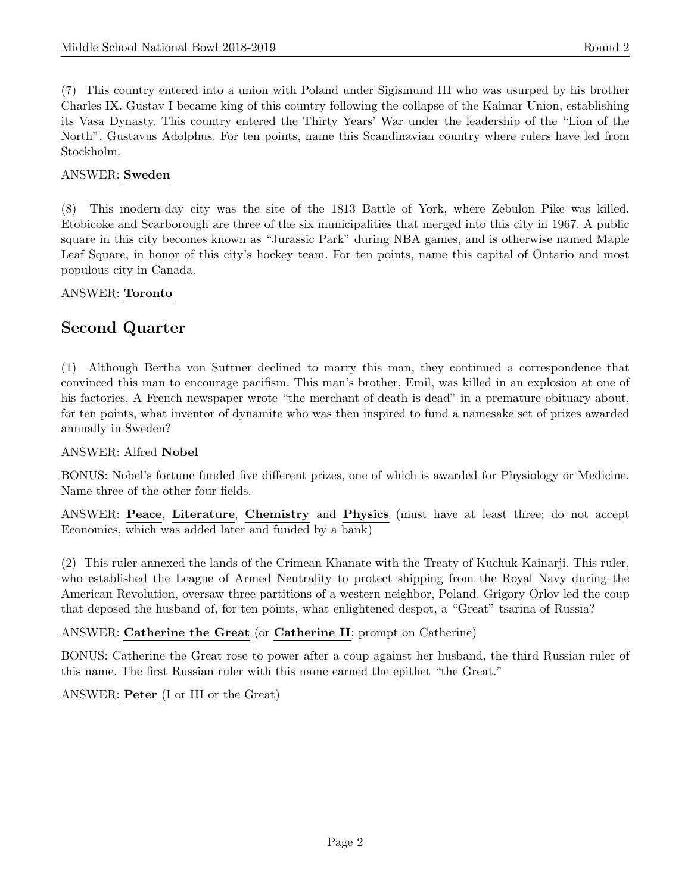(7) This country entered into a union with Poland under Sigismund III who was usurped by his brother Charles IX. Gustav I became king of this country following the collapse of the Kalmar Union, establishing its Vasa Dynasty. This country entered the Thirty Years' War under the leadership of the "Lion of the North", Gustavus Adolphus. For ten points, name this Scandinavian country where rulers have led from Stockholm.

## ANSWER: Sweden

(8) This modern-day city was the site of the 1813 Battle of York, where Zebulon Pike was killed. Etobicoke and Scarborough are three of the six municipalities that merged into this city in 1967. A public square in this city becomes known as "Jurassic Park" during NBA games, and is otherwise named Maple Leaf Square, in honor of this city's hockey team. For ten points, name this capital of Ontario and most populous city in Canada.

#### ANSWER: Toronto

# Second Quarter

(1) Although Bertha von Suttner declined to marry this man, they continued a correspondence that convinced this man to encourage pacifism. This man's brother, Emil, was killed in an explosion at one of his factories. A French newspaper wrote "the merchant of death is dead" in a premature obituary about, for ten points, what inventor of dynamite who was then inspired to fund a namesake set of prizes awarded annually in Sweden?

#### ANSWER: Alfred Nobel

BONUS: Nobel's fortune funded five different prizes, one of which is awarded for Physiology or Medicine. Name three of the other four fields.

ANSWER: Peace, Literature, Chemistry and Physics (must have at least three; do not accept Economics, which was added later and funded by a bank)

(2) This ruler annexed the lands of the Crimean Khanate with the Treaty of Kuchuk-Kainarji. This ruler, who established the League of Armed Neutrality to protect shipping from the Royal Navy during the American Revolution, oversaw three partitions of a western neighbor, Poland. Grigory Orlov led the coup that deposed the husband of, for ten points, what enlightened despot, a "Great" tsarina of Russia?

#### ANSWER: Catherine the Great (or Catherine II; prompt on Catherine)

BONUS: Catherine the Great rose to power after a coup against her husband, the third Russian ruler of this name. The first Russian ruler with this name earned the epithet "the Great."

ANSWER: Peter (I or III or the Great)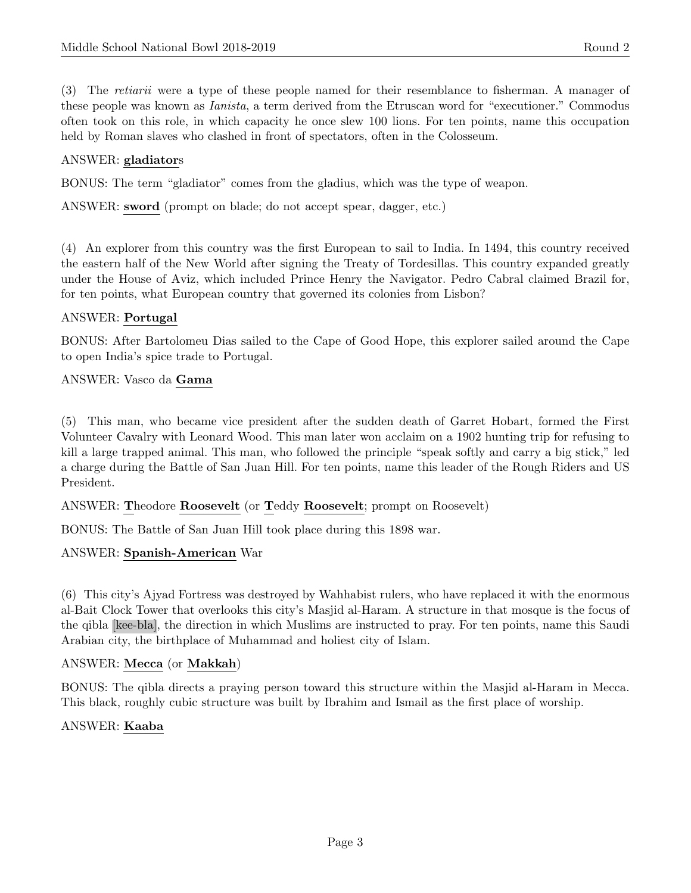(3) The retiarii were a type of these people named for their resemblance to fisherman. A manager of these people was known as Ianista, a term derived from the Etruscan word for "executioner." Commodus often took on this role, in which capacity he once slew 100 lions. For ten points, name this occupation held by Roman slaves who clashed in front of spectators, often in the Colosseum.

# ANSWER: gladiators

BONUS: The term "gladiator" comes from the gladius, which was the type of weapon.

ANSWER: sword (prompt on blade; do not accept spear, dagger, etc.)

(4) An explorer from this country was the first European to sail to India. In 1494, this country received the eastern half of the New World after signing the Treaty of Tordesillas. This country expanded greatly under the House of Aviz, which included Prince Henry the Navigator. Pedro Cabral claimed Brazil for, for ten points, what European country that governed its colonies from Lisbon?

#### ANSWER: Portugal

BONUS: After Bartolomeu Dias sailed to the Cape of Good Hope, this explorer sailed around the Cape to open India's spice trade to Portugal.

#### ANSWER: Vasco da Gama

(5) This man, who became vice president after the sudden death of Garret Hobart, formed the First Volunteer Cavalry with Leonard Wood. This man later won acclaim on a 1902 hunting trip for refusing to kill a large trapped animal. This man, who followed the principle "speak softly and carry a big stick," led a charge during the Battle of San Juan Hill. For ten points, name this leader of the Rough Riders and US President.

#### ANSWER: Theodore Roosevelt (or Teddy Roosevelt; prompt on Roosevelt)

BONUS: The Battle of San Juan Hill took place during this 1898 war.

#### ANSWER: Spanish-American War

(6) This city's Ajyad Fortress was destroyed by Wahhabist rulers, who have replaced it with the enormous al-Bait Clock Tower that overlooks this city's Masjid al-Haram. A structure in that mosque is the focus of the qibla [kee-bla], the direction in which Muslims are instructed to pray. For ten points, name this Saudi Arabian city, the birthplace of Muhammad and holiest city of Islam.

#### ANSWER: Mecca (or Makkah)

BONUS: The qibla directs a praying person toward this structure within the Masjid al-Haram in Mecca. This black, roughly cubic structure was built by Ibrahim and Ismail as the first place of worship.

#### ANSWER: Kaaba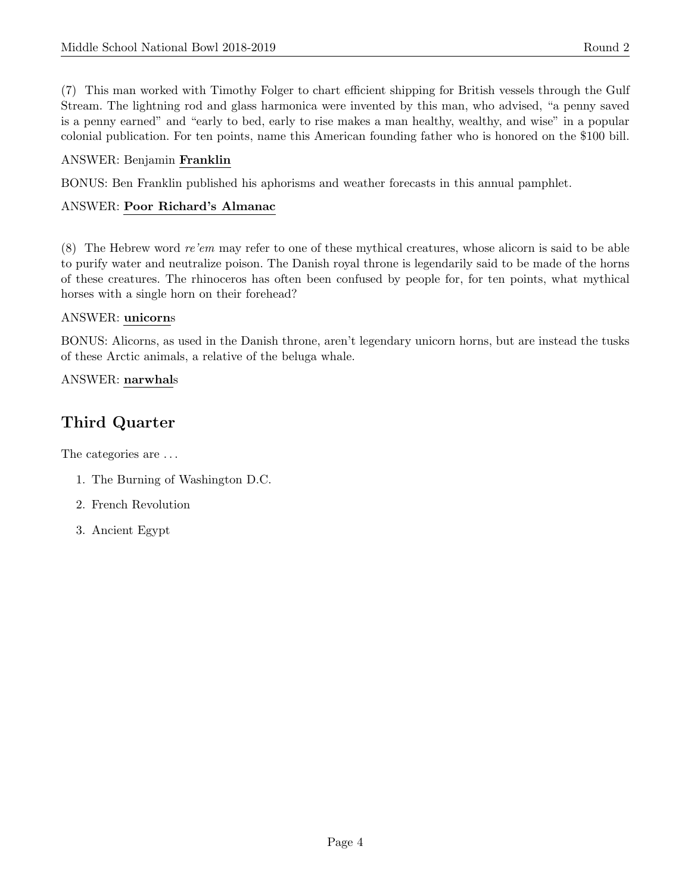(7) This man worked with Timothy Folger to chart efficient shipping for British vessels through the Gulf Stream. The lightning rod and glass harmonica were invented by this man, who advised, "a penny saved is a penny earned" and "early to bed, early to rise makes a man healthy, wealthy, and wise" in a popular colonial publication. For ten points, name this American founding father who is honored on the \$100 bill.

# ANSWER: Benjamin Franklin

BONUS: Ben Franklin published his aphorisms and weather forecasts in this annual pamphlet.

# ANSWER: Poor Richard's Almanac

(8) The Hebrew word re'em may refer to one of these mythical creatures, whose alicorn is said to be able to purify water and neutralize poison. The Danish royal throne is legendarily said to be made of the horns of these creatures. The rhinoceros has often been confused by people for, for ten points, what mythical horses with a single horn on their forehead?

# ANSWER: unicorns

BONUS: Alicorns, as used in the Danish throne, aren't legendary unicorn horns, but are instead the tusks of these Arctic animals, a relative of the beluga whale.

# ANSWER: narwhals

# Third Quarter

The categories are  $\dots$ 

- 1. The Burning of Washington D.C.
- 2. French Revolution
- 3. Ancient Egypt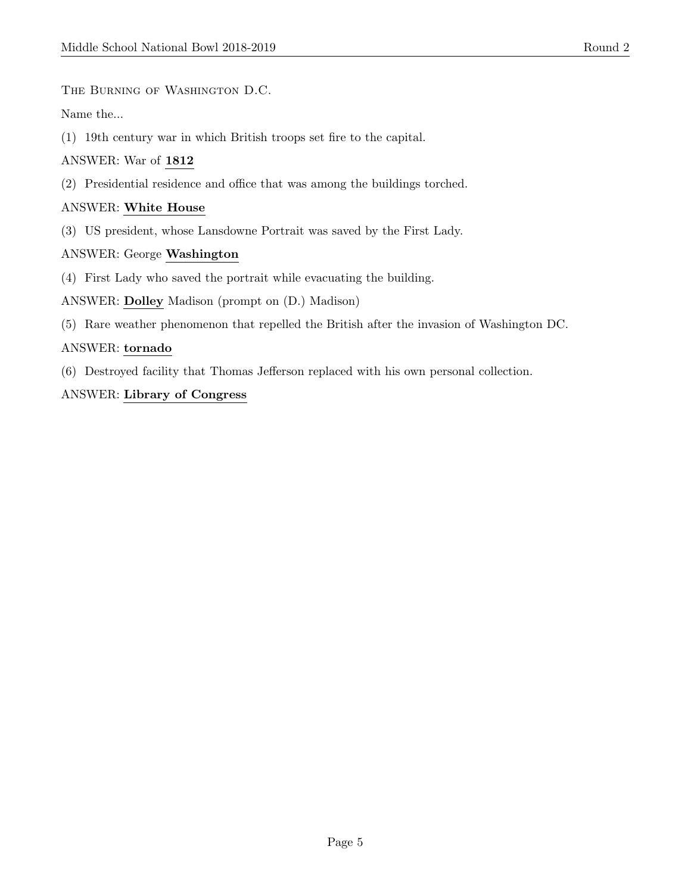The Burning of Washington D.C.

Name the...

(1) 19th century war in which British troops set fire to the capital.

#### ANSWER: War of 1812

(2) Presidential residence and office that was among the buildings torched.

#### ANSWER: White House

(3) US president, whose Lansdowne Portrait was saved by the First Lady.

#### ANSWER: George Washington

(4) First Lady who saved the portrait while evacuating the building.

ANSWER: Dolley Madison (prompt on (D.) Madison)

(5) Rare weather phenomenon that repelled the British after the invasion of Washington DC.

#### ANSWER: tornado

(6) Destroyed facility that Thomas Jefferson replaced with his own personal collection.

#### ANSWER: Library of Congress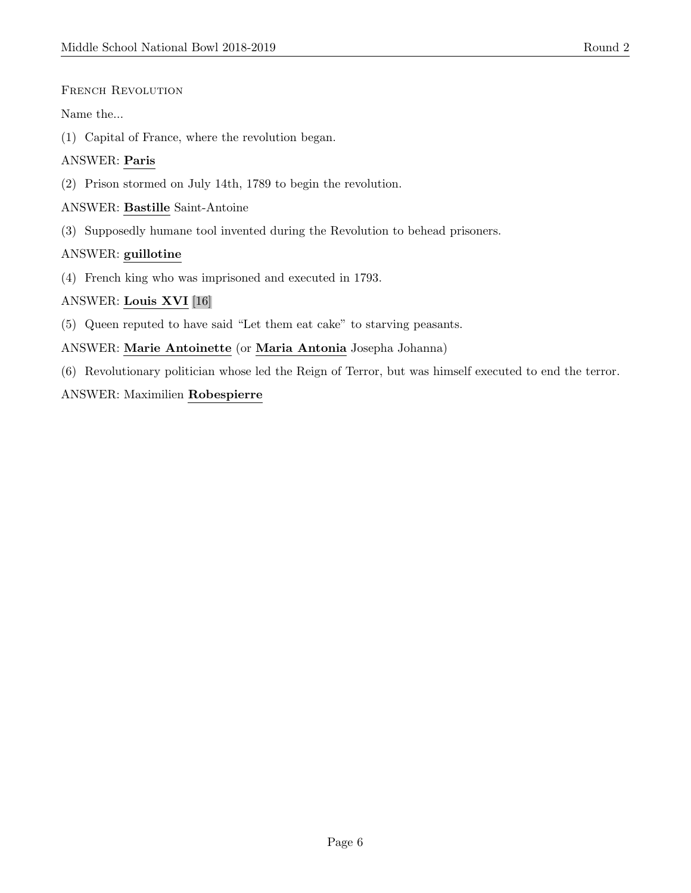#### FRENCH REVOLUTION

#### Name the...

(1) Capital of France, where the revolution began.

#### ANSWER: Paris

(2) Prison stormed on July 14th, 1789 to begin the revolution.

#### ANSWER: Bastille Saint-Antoine

(3) Supposedly humane tool invented during the Revolution to behead prisoners.

#### ANSWER: guillotine

(4) French king who was imprisoned and executed in 1793.

#### ANSWER: Louis XVI [16]

(5) Queen reputed to have said "Let them eat cake" to starving peasants.

#### ANSWER: Marie Antoinette (or Maria Antonia Josepha Johanna)

(6) Revolutionary politician whose led the Reign of Terror, but was himself executed to end the terror.

#### ANSWER: Maximilien Robespierre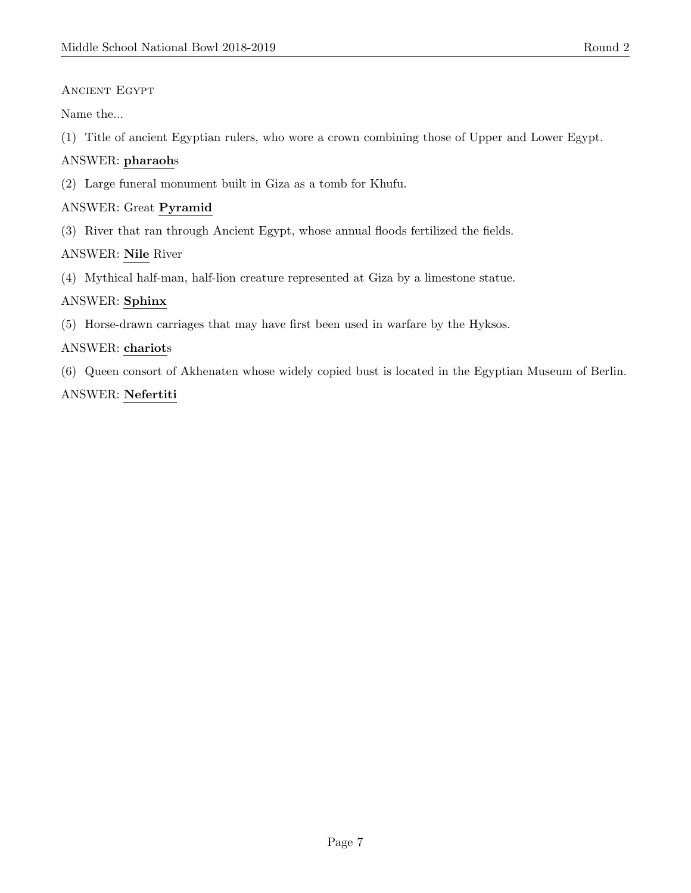# Ancient Egypt

Name the...

(1) Title of ancient Egyptian rulers, who wore a crown combining those of Upper and Lower Egypt.

# ANSWER: pharaohs

(2) Large funeral monument built in Giza as a tomb for Khufu.

# ANSWER: Great Pyramid

(3) River that ran through Ancient Egypt, whose annual floods fertilized the fields.

# ANSWER: Nile River

(4) Mythical half-man, half-lion creature represented at Giza by a limestone statue.

## ANSWER: Sphinx

(5) Horse-drawn carriages that may have first been used in warfare by the Hyksos.

## ANSWER: chariots

(6) Queen consort of Akhenaten whose widely copied bust is located in the Egyptian Museum of Berlin.

# ANSWER: Nefertiti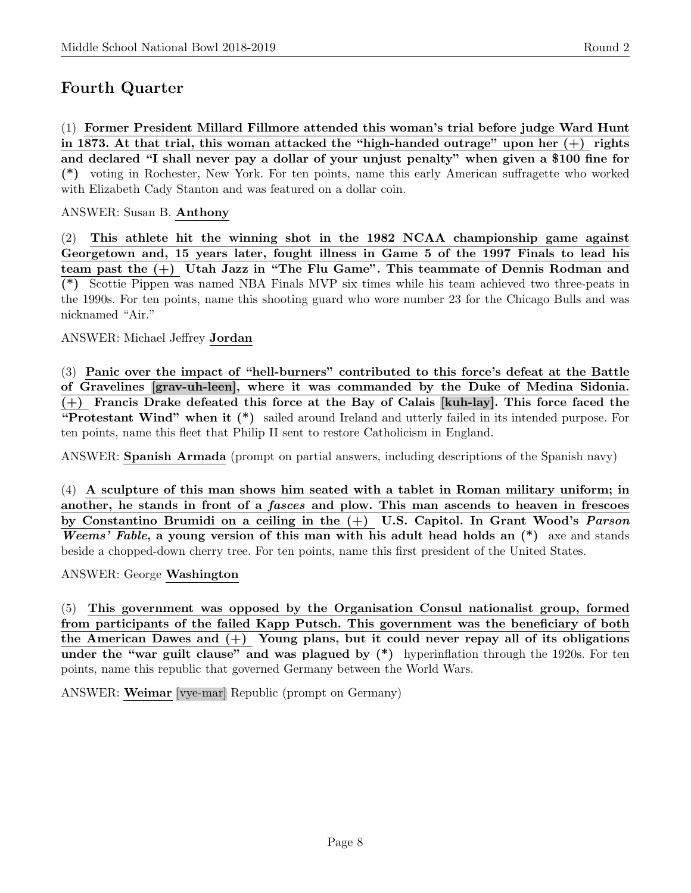# Fourth Quarter

(1) Former President Millard Fillmore attended this woman's trial before judge Ward Hunt in 1873. At that trial, this woman attacked the "high-handed outrage" upon her  $(+)$  rights and declared "I shall never pay a dollar of your unjust penalty" when given a \$100 fine for (\*) voting in Rochester, New York. For ten points, name this early American suffragette who worked with Elizabeth Cady Stanton and was featured on a dollar coin.

#### ANSWER: Susan B. Anthony

(2) This athlete hit the winning shot in the  $1982$  NCAA championship game against Georgetown and, 15 years later, fought illness in Game 5 of the 1997 Finals to lead his team past the (+) Utah Jazz in "The Flu Game". This teammate of Dennis Rodman and (\*) Scottie Pippen was named NBA Finals MVP six times while his team achieved two three-peats in the 1990s. For ten points, name this shooting guard who wore number 23 for the Chicago Bulls and was nicknamed "Air."

#### ANSWER: Michael Jeffrey Jordan

(3) Panic over the impact of "hell-burners" contributed to this force's defeat at the Battle of Gravelines [grav-uh-leen], where it was commanded by the Duke of Medina Sidonia. (+) Francis Drake defeated this force at the Bay of Calais [kuh-lay]. This force faced the "Protestant Wind" when it (\*) sailed around Ireland and utterly failed in its intended purpose. For ten points, name this fleet that Philip II sent to restore Catholicism in England.

ANSWER: Spanish Armada (prompt on partial answers, including descriptions of the Spanish navy)

(4) A sculpture of this man shows him seated with a tablet in Roman military uniform; in another, he stands in front of a fasces and plow. This man ascends to heaven in frescoes by Constantino Brumidi on a ceiling in the (+) U.S. Capitol. In Grant Wood's Parson Weems' Fable, a young version of this man with his adult head holds an  $(*)$  axe and stands beside a chopped-down cherry tree. For ten points, name this first president of the United States.

#### ANSWER: George Washington

(5) This government was opposed by the Organisation Consul nationalist group, formed from participants of the failed Kapp Putsch. This government was the beneficiary of both the American Dawes and  $(+)$  Young plans, but it could never repay all of its obligations under the "war guilt clause" and was plagued by  $(*)$  hyperinflation through the 1920s. For ten points, name this republic that governed Germany between the World Wars.

ANSWER: Weimar [vye-mar] Republic (prompt on Germany)